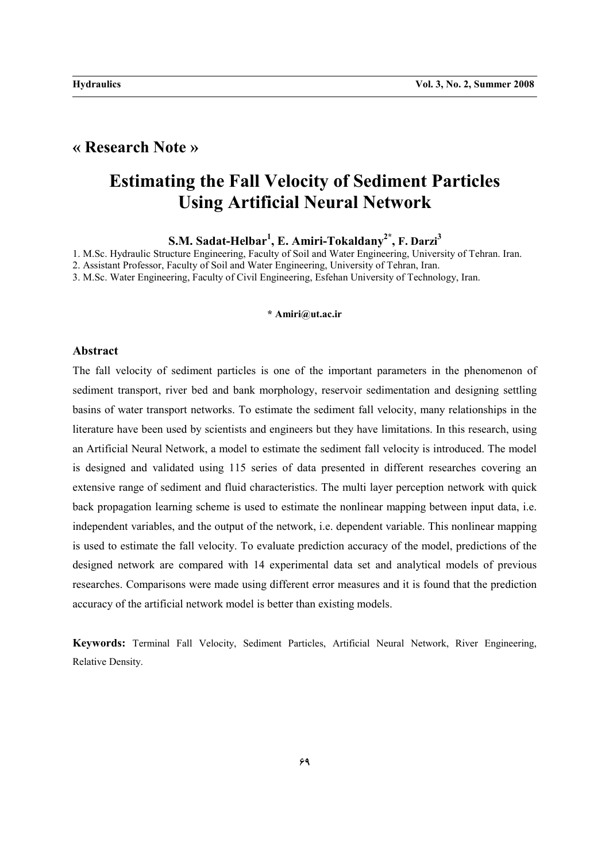## **« Research Note »**

## **Estimating the Fall Velocity of Sediment Particles Using Artificial Neural Network**

**S.M. Sadat-Helbar1 , E. Amiri-Tokaldany2\*, F. Darzi<sup>3</sup>**

1. M.Sc. Hydraulic Structure Engineering, Faculty of Soil and Water Engineering, University of Tehran. Iran.

2. Assistant Professor, Faculty of Soil and Water Engineering, University of Tehran, Iran.

3. M.Sc. Water Engineering, Faculty of Civil Engineering, Esfehan University of Technology, Iran.

### **\* Amiri@ut.ac.ir**

#### **Abstract**

The fall velocity of sediment particles is one of the important parameters in the phenomenon of sediment transport, river bed and bank morphology, reservoir sedimentation and designing settling basins of water transport networks. To estimate the sediment fall velocity, many relationships in the literature have been used by scientists and engineers but they have limitations. In this research, using an Artificial Neural Network, a model to estimate the sediment fall velocity is introduced. The model is designed and validated using 115 series of data presented in different researches covering an extensive range of sediment and fluid characteristics. The multi layer perception network with quick back propagation learning scheme is used to estimate the nonlinear mapping between input data, i.e. independent variables, and the output of the network, i.e. dependent variable. This nonlinear mapping is used to estimate the fall velocity. To evaluate prediction accuracy of the model, predictions of the designed network are compared with 14 experimental data set and analytical models of previous researches. Comparisons were made using different error measures and it is found that the prediction accuracy of the artificial network model is better than existing models.

**Keywords:** Terminal Fall Velocity, Sediment Particles, Artificial Neural Network, River Engineering, Relative Density.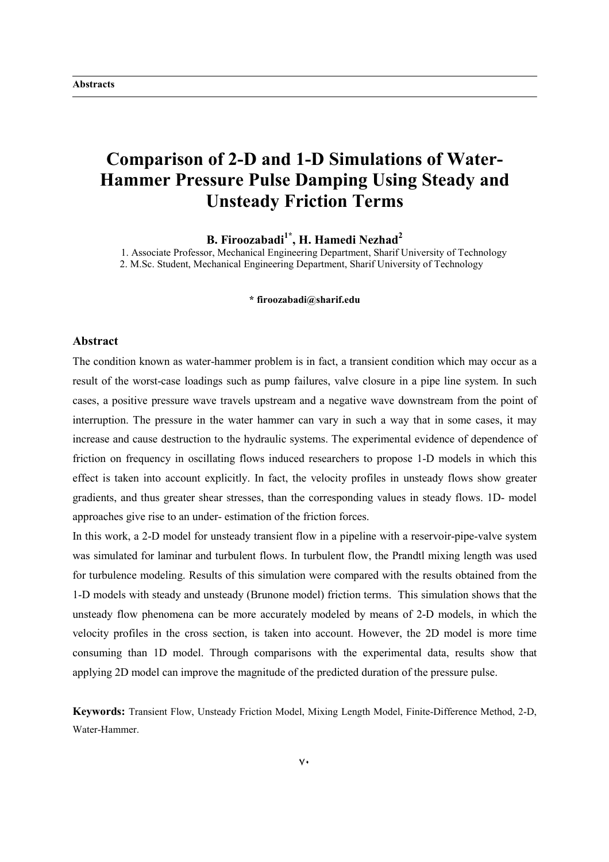## **Comparison of 2-D and 1-D Simulations of Water-Hammer Pressure Pulse Damping Using Steady and Unsteady Friction Terms**

**B. Firoozabadi1\*, H. Hamedi Nezhad<sup>2</sup>**

1. Associate Professor, Mechanical Engineering Department, Sharif University of Technology 2. M.Sc. Student, Mechanical Engineering Department, Sharif University of Technology

#### **\* firoozabadi@sharif.edu**

### **Abstract**

The condition known as water-hammer problem is in fact, a transient condition which may occur as a result of the worst-case loadings such as pump failures, valve closure in a pipe line system. In such cases, a positive pressure wave travels upstream and a negative wave downstream from the point of interruption. The pressure in the water hammer can vary in such a way that in some cases, it may increase and cause destruction to the hydraulic systems. The experimental evidence of dependence of friction on frequency in oscillating flows induced researchers to propose 1-D models in which this effect is taken into account explicitly. In fact, the velocity profiles in unsteady flows show greater gradients, and thus greater shear stresses, than the corresponding values in steady flows. 1D- model approaches give rise to an under- estimation of the friction forces.

In this work, a 2-D model for unsteady transient flow in a pipeline with a reservoir-pipe-valve system was simulated for laminar and turbulent flows. In turbulent flow, the Prandtl mixing length was used for turbulence modeling. Results of this simulation were compared with the results obtained from the 1-D models with steady and unsteady (Brunone model) friction terms. This simulation shows that the unsteady flow phenomena can be more accurately modeled by means of 2-D models, in which the velocity profiles in the cross section, is taken into account. However, the 2D model is more time consuming than 1D model. Through comparisons with the experimental data, results show that applying 2D model can improve the magnitude of the predicted duration of the pressure pulse.

**Keywords:** Transient Flow, Unsteady Friction Model, Mixing Length Model, Finite-Difference Method, 2-D, Water-Hammer.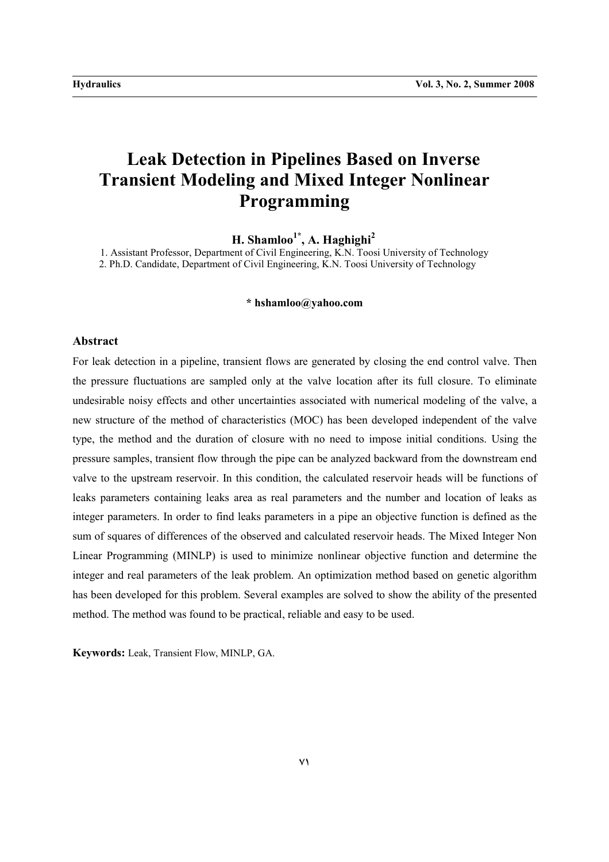# **Leak Detection in Pipelines Based on Inverse Transient Modeling and Mixed Integer Nonlinear Programming**

**H. Shamloo1\*, A. Haghighi<sup>2</sup>**

1. Assistant Professor, Department of Civil Engineering, K.N. Toosi University of Technology 2. Ph.D. Candidate, Department of Civil Engineering, K.N. Toosi University of Technology

### **\* hshamloo@yahoo.com**

### **Abstract**

For leak detection in a pipeline, transient flows are generated by closing the end control valve. Then the pressure fluctuations are sampled only at the valve location after its full closure. To eliminate undesirable noisy effects and other uncertainties associated with numerical modeling of the valve, a new structure of the method of characteristics (MOC) has been developed independent of the valve type, the method and the duration of closure with no need to impose initial conditions. Using the pressure samples, transient flow through the pipe can be analyzed backward from the downstream end valve to the upstream reservoir. In this condition, the calculated reservoir heads will be functions of leaks parameters containing leaks area as real parameters and the number and location of leaks as integer parameters. In order to find leaks parameters in a pipe an objective function is defined as the sum of squares of differences of the observed and calculated reservoir heads. The Mixed Integer Non Linear Programming (MINLP) is used to minimize nonlinear objective function and determine the integer and real parameters of the leak problem. An optimization method based on genetic algorithm has been developed for this problem. Several examples are solved to show the ability of the presented method. The method was found to be practical, reliable and easy to be used.

**Keywords:** Leak, Transient Flow, MINLP, GA.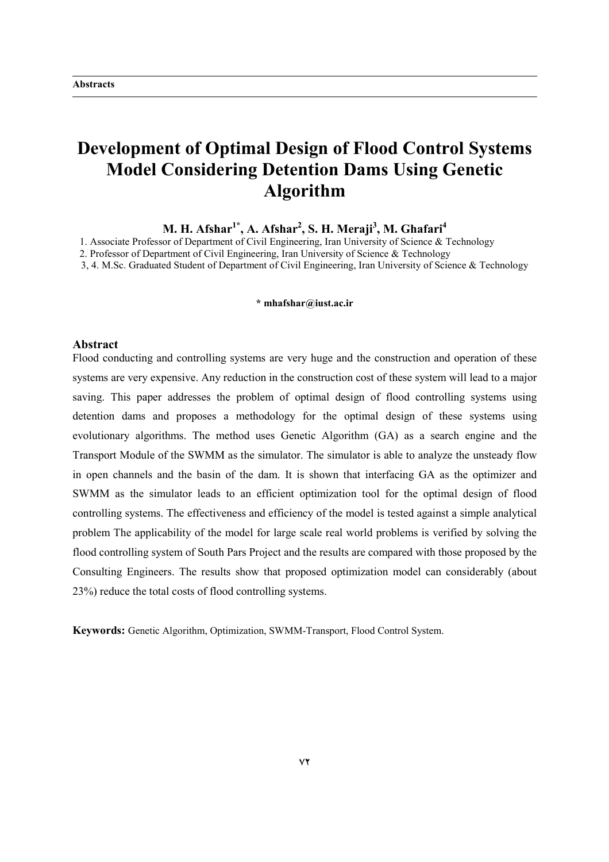# **Development of Optimal Design of Flood Control Systems Model Considering Detention Dams Using Genetic Algorithm**

**M. H. Afshar1\*, A. Afshar2 , S. H. Meraji<sup>3</sup> , M. Ghafari4**

1. Associate Professor of Department of Civil Engineering, Iran University of Science & Technology

2. Professor of Department of Civil Engineering, Iran University of Science & Technology

3, 4. M.Sc. Graduated Student of Department of Civil Engineering, Iran University of Science & Technology

### **\* mhafshar@iust.ac.ir**

#### **Abstract**

Flood conducting and controlling systems are very huge and the construction and operation of these systems are very expensive. Any reduction in the construction cost of these system will lead to a major saving. This paper addresses the problem of optimal design of flood controlling systems using detention dams and proposes a methodology for the optimal design of these systems using evolutionary algorithms. The method uses Genetic Algorithm (GA) as a search engine and the Transport Module of the SWMM as the simulator. The simulator is able to analyze the unsteady flow in open channels and the basin of the dam. It is shown that interfacing GA as the optimizer and SWMM as the simulator leads to an efficient optimization tool for the optimal design of flood controlling systems. The effectiveness and efficiency of the model is tested against a simple analytical problem The applicability of the model for large scale real world problems is verified by solving the flood controlling system of South Pars Project and the results are compared with those proposed by the Consulting Engineers. The results show that proposed optimization model can considerably (about 23%) reduce the total costs of flood controlling systems.

**Keywords:** Genetic Algorithm, Optimization, SWMM-Transport, Flood Control System.